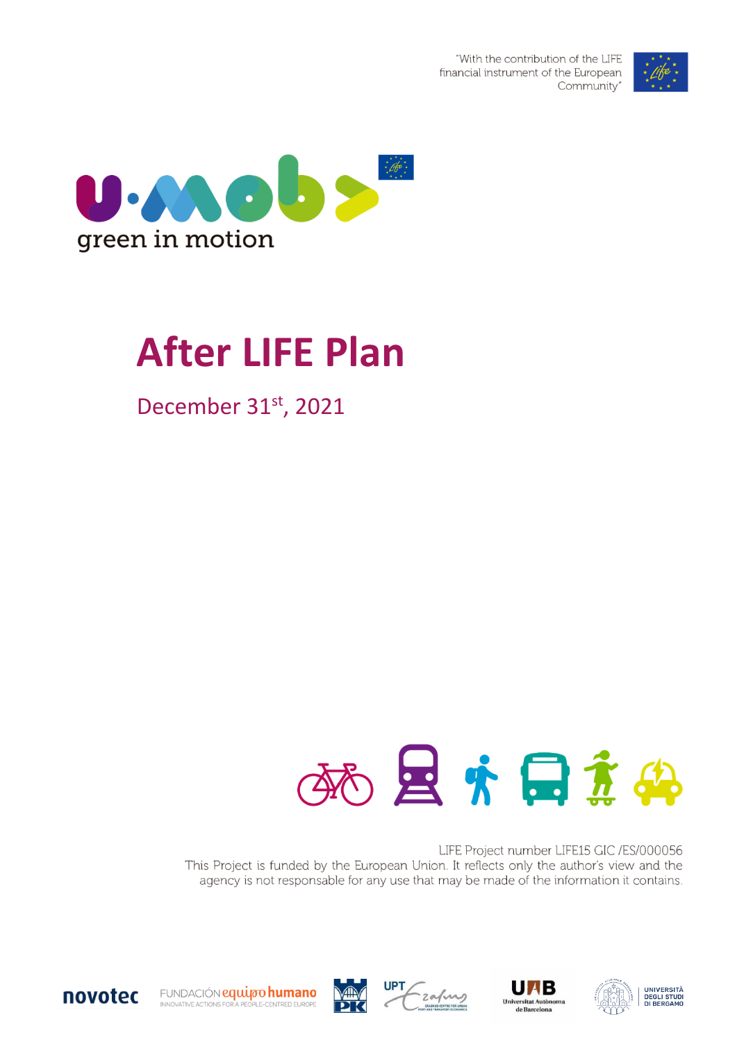



# **After LIFE Plan**

December 31st, 2021



LIFE Project number LIFE15 GIC /ES/000056 This Project is funded by the European Union. It reflects only the author's view and the agency is not responsable for any use that may be made of the information it contains.



FUNDACIÓN equipo humano INNOVATIVE ACTIONS FOR A PEOPLE-CENTRED EUROPE







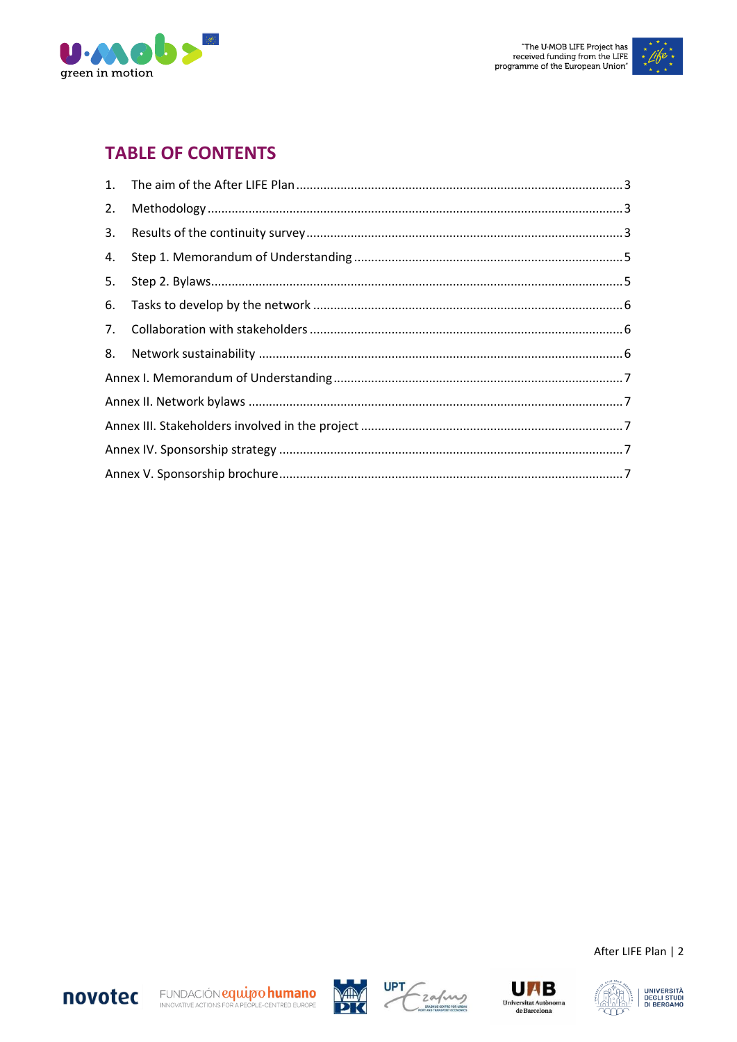



## **TABLE OF CONTENTS**

| 4. |  |  |
|----|--|--|
|    |  |  |
| 6. |  |  |
|    |  |  |
|    |  |  |
|    |  |  |
|    |  |  |
|    |  |  |
|    |  |  |
|    |  |  |









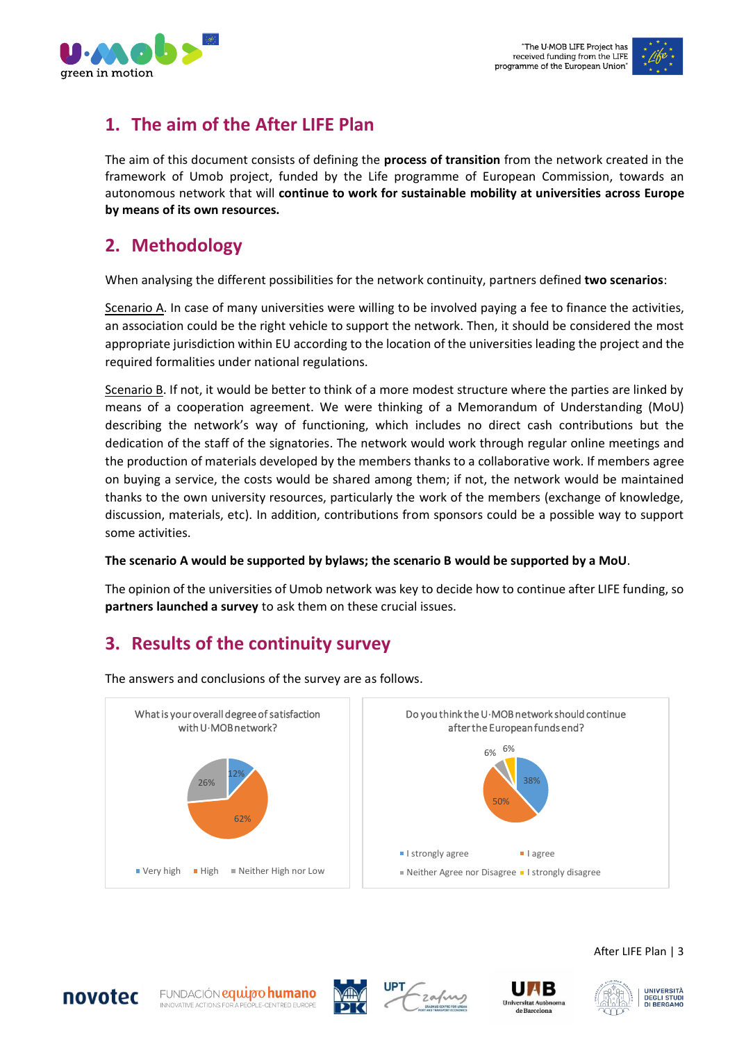

## <span id="page-2-0"></span>**1. The aim of the After LIFE Plan**

The aim of this document consists of defining the **process of transition** from the network created in the framework of Umob project, funded by the Life programme of European Commission, towards an autonomous network that will **continue to work for sustainable mobility at universities across Europe by means of its own resources.**

## <span id="page-2-1"></span>**2. Methodology**

When analysing the different possibilities for the network continuity, partners defined **two scenarios**:

Scenario A. In case of many universities were willing to be involved paying a fee to finance the activities, an association could be the right vehicle to support the network. Then, it should be considered the most appropriate jurisdiction within EU according to the location of the universities leading the project and the required formalities under national regulations.

Scenario B. If not, it would be better to think of a more modest structure where the parties are linked by means of a cooperation agreement. We were thinking of a Memorandum of Understanding (MoU) describing the network's way of functioning, which includes no direct cash contributions but the dedication of the staff of the signatories. The network would work through regular online meetings and the production of materials developed by the members thanks to a collaborative work. If members agree on buying a service, the costs would be shared among them; if not, the network would be maintained thanks to the own university resources, particularly the work of the members (exchange of knowledge, discussion, materials, etc). In addition, contributions from sponsors could be a possible way to support some activities.

#### **The scenario A would be supported by bylaws; the scenario B would be supported by a MoU**.

The opinion of the universities of Umob network was key to decide how to continue after LIFE funding, so **partners launched a survey** to ask them on these crucial issues.

## <span id="page-2-2"></span>**3. Results of the continuity survey**



The answers and conclusions of the survey are as follows.









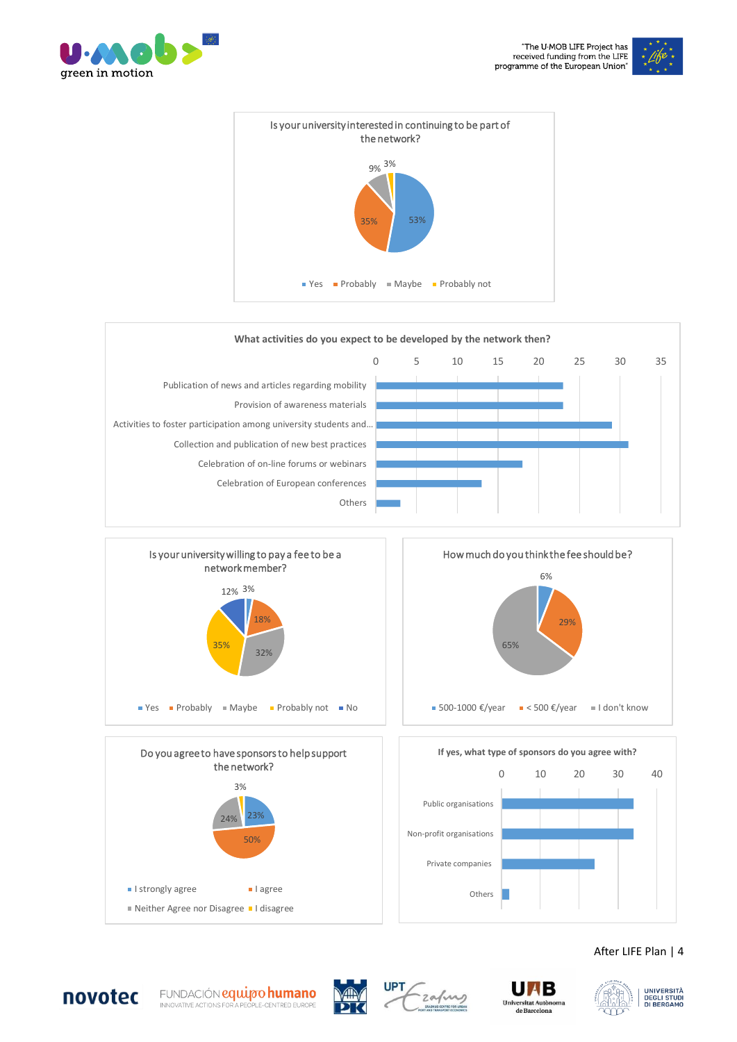

























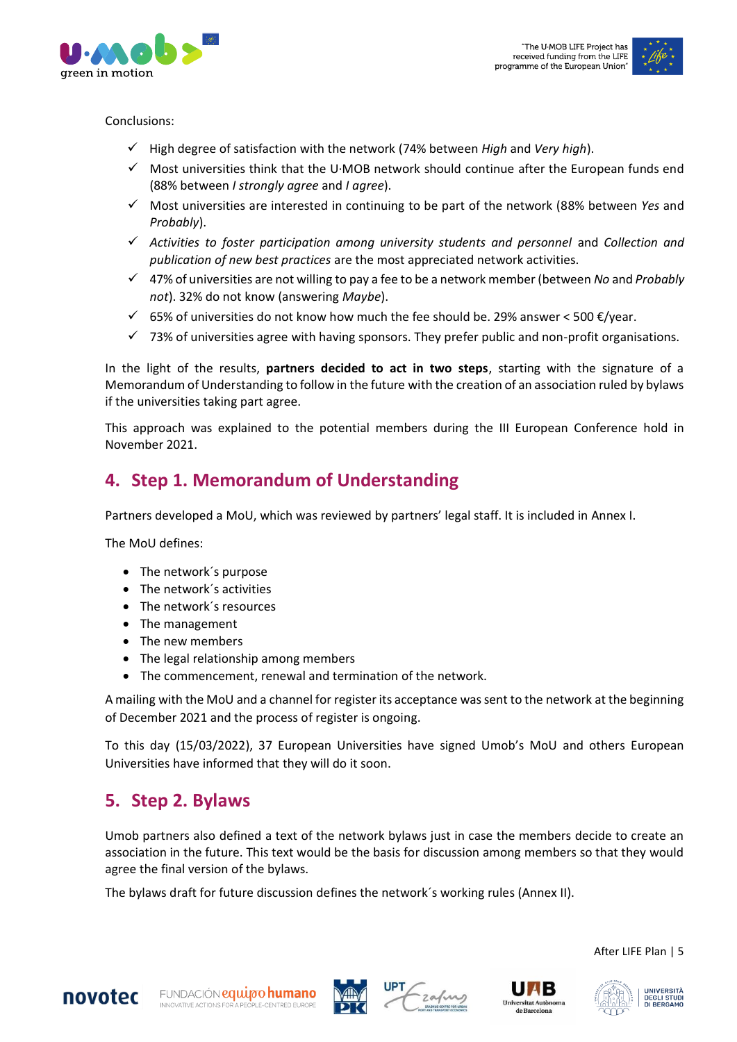



Conclusions:

- ✓ High degree of satisfaction with the network (74% between *High* and *Very high*).
- $\checkmark$  Most universities think that the U·MOB network should continue after the European funds end (88% between *I strongly agree* and *I agree*).
- ✓ Most universities are interested in continuing to be part of the network (88% between *Yes* and *Probably*).
- ✓ *Activities to foster participation among university students and personnel* and *Collection and publication of new best practices* are the most appreciated network activities.
- ✓ 47% of universities are not willing to pay a fee to be a network member (between *No* and *Probably not*). 32% do not know (answering *Maybe*).
- $\checkmark$  65% of universities do not know how much the fee should be. 29% answer < 500  $\xi$ /year.
- $\checkmark$  73% of universities agree with having sponsors. They prefer public and non-profit organisations.

In the light of the results, **partners decided to act in two steps**, starting with the signature of a Memorandum of Understanding to follow in the future with the creation of an association ruled by bylaws if the universities taking part agree.

This approach was explained to the potential members during the III European Conference hold in November 2021.

### <span id="page-4-0"></span>**4. Step 1. Memorandum of Understanding**

Partners developed a MoU, which was reviewed by partners' legal staff. It is included in Annex I.

The MoU defines:

- The network's purpose
- The network´s activities
- The network´s resources
- The management
- The new members
- The legal relationship among members
- The commencement, renewal and termination of the network.

A mailing with the MoU and a channel for register its acceptance was sent to the network at the beginning of December 2021 and the process of register is ongoing.

To this day (15/03/2022), 37 European Universities have signed Umob's MoU and others European Universities have informed that they will do it soon.

## <span id="page-4-1"></span>**5. Step 2. Bylaws**

Umob partners also defined a text of the network bylaws just in case the members decide to create an association in the future. This text would be the basis for discussion among members so that they would agree the final version of the bylaws.

The bylaws draft for future discussion defines the network´s working rules (Annex II).









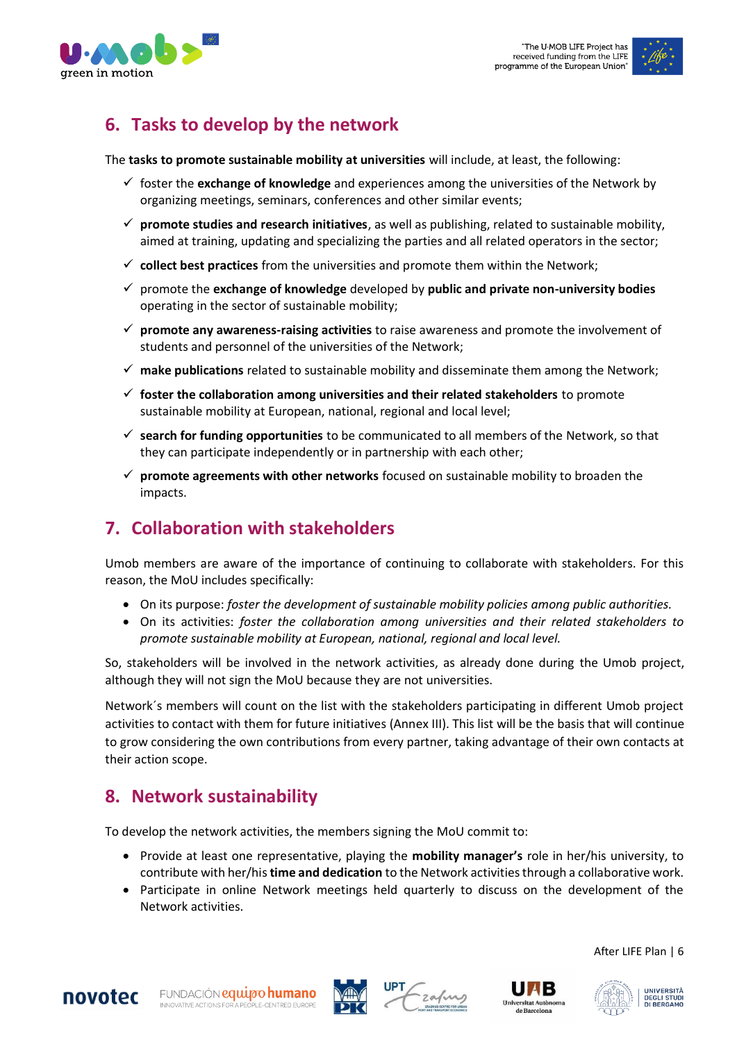

# <span id="page-5-0"></span>**6. Tasks to develop by the network**

The **tasks to promote sustainable mobility at universities** will include, at least, the following:

- ✓ foster the **exchange of knowledge** and experiences among the universities of the Network by organizing meetings, seminars, conferences and other similar events;
- ✓ **promote studies and research initiatives**, as well as publishing, related to sustainable mobility, aimed at training, updating and specializing the parties and all related operators in the sector;
- ✓ **collect best practices** from the universities and promote them within the Network;
- ✓ promote the **exchange of knowledge** developed by **public and private non-university bodies** operating in the sector of sustainable mobility;
- ✓ **promote any awareness-raising activities** to raise awareness and promote the involvement of students and personnel of the universities of the Network;
- ✓ **make publications** related to sustainable mobility and disseminate them among the Network;
- ✓ **foster the collaboration among universities and their related stakeholders** to promote sustainable mobility at European, national, regional and local level;
- ✓ **search for funding opportunities** to be communicated to all members of the Network, so that they can participate independently or in partnership with each other;
- ✓ **promote agreements with other networks** focused on sustainable mobility to broaden the impacts.

# <span id="page-5-1"></span>**7. Collaboration with stakeholders**

Umob members are aware of the importance of continuing to collaborate with stakeholders. For this reason, the MoU includes specifically:

- On its purpose: *foster the development of sustainable mobility policies among public authorities.*
- On its activities: *foster the collaboration among universities and their related stakeholders to promote sustainable mobility at European, national, regional and local level.*

So, stakeholders will be involved in the network activities, as already done during the Umob project, although they will not sign the MoU because they are not universities.

Network´s members will count on the list with the stakeholders participating in different Umob project activities to contact with them for future initiatives (Annex III). This list will be the basis that will continue to grow considering the own contributions from every partner, taking advantage of their own contacts at their action scope.

## <span id="page-5-2"></span>**8. Network sustainability**

To develop the network activities, the members signing the MoU commit to:

- Provide at least one representative, playing the **mobility manager's** role in her/his university, to contribute with her/his **time and dedication** to the Network activities through a collaborative work.
- Participate in online Network meetings held quarterly to discuss on the development of the Network activities.